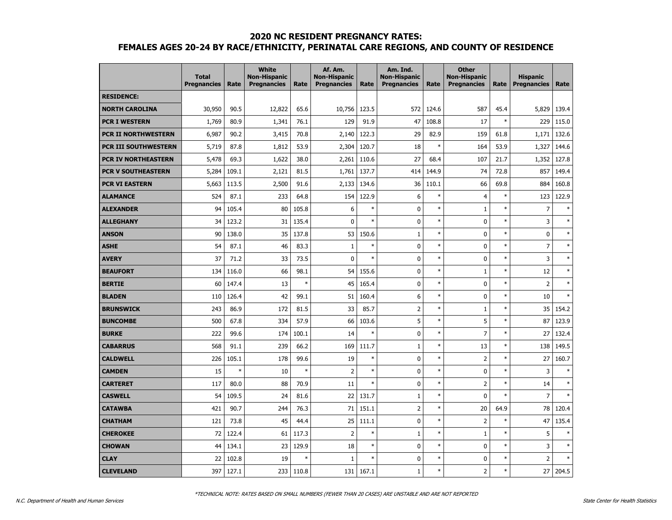|                            | <b>Total</b><br><b>Pregnancies</b> | Rate   | <b>White</b><br><b>Non-Hispanic</b><br><b>Pregnancies</b> | Rate   | Af. Am.<br><b>Non-Hispanic</b><br><b>Pregnancies</b> | Rate   | Am. Ind.<br><b>Non-Hispanic</b><br><b>Pregnancies</b> | Rate   | <b>Other</b><br><b>Non-Hispanic</b><br><b>Pregnancies</b> | Rate   | <b>Hispanic</b><br><b>Pregnancies</b> | Rate          |
|----------------------------|------------------------------------|--------|-----------------------------------------------------------|--------|------------------------------------------------------|--------|-------------------------------------------------------|--------|-----------------------------------------------------------|--------|---------------------------------------|---------------|
| <b>RESIDENCE:</b>          |                                    |        |                                                           |        |                                                      |        |                                                       |        |                                                           |        |                                       |               |
| <b>NORTH CAROLINA</b>      | 30,950                             | 90.5   | 12,822                                                    | 65.6   | 10,756                                               | 123.5  | 572                                                   | 124.6  | 587                                                       | 45.4   | 5,829                                 | 139.4         |
| <b>PCR I WESTERN</b>       | 1,769                              | 80.9   | 1,341                                                     | 76.1   | 129                                                  | 91.9   | 47                                                    | 108.8  | 17                                                        | $\ast$ | 229                                   | 115.0         |
| <b>PCR II NORTHWESTERN</b> | 6,987                              | 90.2   | 3,415                                                     | 70.8   | 2,140                                                | 122.3  | 29                                                    | 82.9   | 159                                                       | 61.8   | 1,171                                 | 132.6         |
| PCR III SOUTHWESTERN       | 5,719                              | 87.8   | 1,812                                                     | 53.9   | 2,304                                                | 120.7  | 18                                                    | $\ast$ | 164                                                       | 53.9   | 1,327                                 | 144.6         |
| PCR IV NORTHEASTERN        | 5,478                              | 69.3   | 1,622                                                     | 38.0   | 2,261                                                | 110.6  | 27                                                    | 68.4   | 107                                                       | 21.7   | 1,352                                 | 127.8         |
| PCR V SOUTHEASTERN         | 5,284                              | 109.1  | 2,121                                                     | 81.5   | 1,761                                                | 137.7  | 414                                                   | 144.9  | 74                                                        | 72.8   | 857                                   | 149.4         |
| <b>PCR VI EASTERN</b>      | 5,663                              | 113.5  | 2,500                                                     | 91.6   | 2,133                                                | 134.6  | 36                                                    | 110.1  | 66                                                        | 69.8   | 884                                   | 160.8         |
| <b>ALAMANCE</b>            | 524                                | 87.1   | 233                                                       | 64.8   | 154                                                  | 122.9  | 6                                                     | $\ast$ | $\overline{4}$                                            | $\ast$ | 123                                   | 122.9         |
| <b>ALEXANDER</b>           | 94                                 | 105.4  | 80                                                        | 105.8  | 6                                                    | $\ast$ | 0                                                     | $\ast$ | $1\,$                                                     | $\ast$ | $\overline{7}$                        | $\ast$        |
| <b>ALLEGHANY</b>           | 34                                 | 123.2  | 31                                                        | 135.4  | 0                                                    | $\ast$ | 0                                                     | $\ast$ | $\pmb{0}$                                                 | $\ast$ | 3                                     | $\ast$        |
| <b>ANSON</b>               | 90                                 | 138.0  | 35                                                        | 137.8  | 53                                                   | 150.6  | $\mathbf 1$                                           | $\ast$ | $\mathbf 0$                                               | $\ast$ | $\pmb{0}$                             | $\ast$        |
| <b>ASHE</b>                | 54                                 | 87.1   | 46                                                        | 83.3   | $\mathbf{1}$                                         | $\ast$ | 0                                                     | $\ast$ | $\mathbf 0$                                               | $\ast$ | $\overline{7}$                        | $\ast$        |
| <b>AVERY</b>               | 37                                 | 71.2   | 33                                                        | 73.5   | $\mathbf{0}$                                         | $\ast$ | 0                                                     | $\ast$ | $\mathbf 0$                                               | $\ast$ | 3                                     | $\ast$        |
| <b>BEAUFORT</b>            | 134                                | 116.0  | 66                                                        | 98.1   | 54                                                   | 155.6  | 0                                                     | $\ast$ | $\mathbf 1$                                               | $\ast$ | 12                                    | $\ast$        |
| <b>BERTIE</b>              | 60                                 | 147.4  | 13                                                        | $\ast$ | 45                                                   | 165.4  | 0                                                     | $\ast$ | $\pmb{0}$                                                 | $\ast$ | $\mathsf 2$                           | $\ast$        |
| <b>BLADEN</b>              | 110                                | 126.4  | 42                                                        | 99.1   | 51                                                   | 160.4  | 6                                                     | $\ast$ | $\pmb{0}$                                                 | $\ast$ | 10                                    | $\ast$        |
| <b>BRUNSWICK</b>           | 243                                | 86.9   | 172                                                       | 81.5   | 33                                                   | 85.7   | $\overline{2}$                                        | $\ast$ | $1\,$                                                     | $\ast$ | 35                                    | 154.2         |
| <b>BUNCOMBE</b>            | 500                                | 67.8   | 334                                                       | 57.9   | 66                                                   | 103.6  | 5                                                     | $\ast$ | 5                                                         | $\ast$ | 87                                    | 123.9         |
| <b>BURKE</b>               | 222                                | 99.6   | 174                                                       | 100.1  | 14                                                   | $\ast$ | 0                                                     | $\ast$ | $\overline{7}$                                            | $\ast$ | 27                                    | 132.4         |
| <b>CABARRUS</b>            | 568                                | 91.1   | 239                                                       | 66.2   | 169                                                  | 111.7  | $\mathbf{1}$                                          | $\ast$ | 13                                                        | $\ast$ | 138                                   | 149.5         |
| <b>CALDWELL</b>            | 226                                | 105.1  | 178                                                       | 99.6   | 19                                                   | $\ast$ | 0                                                     | $\ast$ | $\overline{2}$                                            | $\ast$ | 27                                    | 160.7         |
| <b>CAMDEN</b>              | 15                                 | $\ast$ | 10                                                        | $\ast$ | $\overline{2}$                                       | $\ast$ | 0                                                     | $\ast$ | $\mathbf 0$                                               | $\ast$ | 3                                     | $\ast$        |
| <b>CARTERET</b>            | 117                                | 80.0   | 88                                                        | 70.9   | 11                                                   | $\ast$ | 0                                                     | $\ast$ | $\overline{2}$                                            | $\ast$ | 14                                    | $\ast$        |
| <b>CASWELL</b>             | 54                                 | 109.5  | 24                                                        | 81.6   | 22                                                   | 131.7  | $\mathbf{1}$                                          | $\ast$ | $\pmb{0}$                                                 | $\ast$ | $\overline{7}$                        | $\ast$        |
| <b>CATAWBA</b>             | 421                                | 90.7   | 244                                                       | 76.3   | 71                                                   | 151.1  | $\overline{2}$                                        | $\ast$ | 20                                                        | 64.9   | 78                                    | 120.4         |
| <b>CHATHAM</b>             | 121                                | 73.8   | 45                                                        | 44.4   | 25                                                   | 111.1  | 0                                                     | $\ast$ | $\overline{2}$                                            | $\ast$ | 47                                    | 135.4         |
| <b>CHEROKEE</b>            | 72                                 | 122.4  | 61                                                        | 117.3  | 2                                                    | $\ast$ | $\mathbf{1}$                                          | $\ast$ | $1\,$                                                     | $\ast$ | 5                                     | $\frac{1}{2}$ |
| <b>CHOWAN</b>              | 44                                 | 134.1  | 23                                                        | 129.9  | 18                                                   | $\ast$ | 0                                                     | $\ast$ | $\mathbf 0$                                               | $\ast$ | 3                                     | $\ast$        |
| <b>CLAY</b>                | 22                                 | 102.8  | 19                                                        | $\ast$ | 1                                                    | $\ast$ | 0                                                     | $\ast$ | $\mathbf 0$                                               | $\ast$ | $\overline{2}$                        | $\ast$        |
| <b>CLEVELAND</b>           | 397                                | 127.1  | 233                                                       | 110.8  | 131                                                  | 167.1  | $\mathbf 1$                                           | $\ast$ | $\overline{2}$                                            | $\ast$ | 27                                    | 204.5         |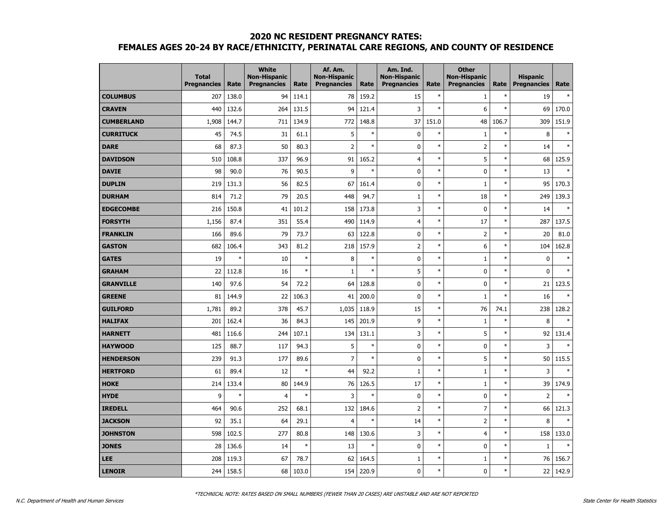|                   | <b>Total</b><br><b>Pregnancies</b> | Rate   | <b>White</b><br><b>Non-Hispanic</b><br><b>Pregnancies</b> | Rate   | Af. Am.<br><b>Non-Hispanic</b><br><b>Pregnancies</b> | Rate   | Am. Ind.<br><b>Non-Hispanic</b><br><b>Pregnancies</b> | Rate   | <b>Other</b><br><b>Non-Hispanic</b><br><b>Pregnancies</b> | Rate   | <b>Hispanic</b><br><b>Pregnancies</b> | Rate   |
|-------------------|------------------------------------|--------|-----------------------------------------------------------|--------|------------------------------------------------------|--------|-------------------------------------------------------|--------|-----------------------------------------------------------|--------|---------------------------------------|--------|
| <b>COLUMBUS</b>   | 207                                | 138.0  | 94                                                        | 114.1  | 78                                                   | 159.2  | 15                                                    | $\ast$ | $\mathbf{1}$                                              | $\ast$ | 19                                    | $\ast$ |
| <b>CRAVEN</b>     | 440                                | 132.6  | 264                                                       | 131.5  | 94                                                   | 121.4  | 3                                                     | $\ast$ | 6                                                         | $\ast$ | 69                                    | 170.0  |
| <b>CUMBERLAND</b> | 1,908                              | 144.7  | 711                                                       | 134.9  | 772                                                  | 148.8  | 37                                                    | 151.0  | 48                                                        | 106.7  | 309                                   | 151.9  |
| <b>CURRITUCK</b>  | 45                                 | 74.5   | 31                                                        | 61.1   | 5                                                    | $\ast$ | $\mathbf 0$                                           | $\ast$ | $\mathbf{1}$                                              | $\ast$ | 8                                     | *      |
| <b>DARE</b>       | 68                                 | 87.3   | 50                                                        | 80.3   | 2                                                    | $\ast$ | 0                                                     | $\ast$ | $\overline{2}$                                            | $\ast$ | 14                                    | $\ast$ |
| <b>DAVIDSON</b>   | 510                                | 108.8  | 337                                                       | 96.9   | 91                                                   | 165.2  | $\overline{4}$                                        | $\ast$ | 5                                                         | $\ast$ | 68                                    | 125.9  |
| <b>DAVIE</b>      | 98                                 | 90.0   | 76                                                        | 90.5   | 9                                                    | $\ast$ | 0                                                     | $\ast$ | $\mathbf 0$                                               | $\ast$ | 13                                    | $\ast$ |
| <b>DUPLIN</b>     | 219                                | 131.3  | 56                                                        | 82.5   | 67                                                   | 161.4  | 0                                                     | $\ast$ | $\mathbf{1}$                                              | $\ast$ | 95                                    | 170.3  |
| <b>DURHAM</b>     | 814                                | 71.2   | 79                                                        | 20.5   | 448                                                  | 94.7   | $\mathbf{1}$                                          | $\ast$ | 18                                                        | $\ast$ | 249                                   | 139.3  |
| <b>EDGECOMBE</b>  | 216                                | 150.8  | 41                                                        | 101.2  | 158                                                  | 173.8  | 3                                                     | $\ast$ | $\mathbf 0$                                               | $\ast$ | 14                                    | $\ast$ |
| <b>FORSYTH</b>    | 1,156                              | 87.4   | 351                                                       | 55.4   | 490                                                  | 114.9  | $\overline{4}$                                        | $\ast$ | 17                                                        | $\ast$ | 287                                   | 137.5  |
| <b>FRANKLIN</b>   | 166                                | 89.6   | 79                                                        | 73.7   | 63                                                   | 122.8  | 0                                                     | $\ast$ | $\overline{2}$                                            | $\ast$ | 20                                    | 81.0   |
| <b>GASTON</b>     | 682                                | 106.4  | 343                                                       | 81.2   | 218                                                  | 157.9  | $\overline{2}$                                        | $\ast$ | 6                                                         | $\ast$ | 104                                   | 162.8  |
| <b>GATES</b>      | 19                                 | $\ast$ | 10                                                        | $\ast$ | 8                                                    | $\ast$ | 0                                                     | $\ast$ | $\mathbf{1}$                                              | $\ast$ | $\mathbf 0$                           | $\ast$ |
| <b>GRAHAM</b>     | 22                                 | 112.8  | 16                                                        | $\ast$ | 1                                                    | $\ast$ | 5                                                     | $\ast$ | $\mathbf 0$                                               | $\ast$ | $\pmb{0}$                             | $\ast$ |
| <b>GRANVILLE</b>  | 140                                | 97.6   | 54                                                        | 72.2   | 64                                                   | 128.8  | $\mathbf 0$                                           | $\ast$ | $\mathbf 0$                                               | $\ast$ | 21                                    | 123.5  |
| <b>GREENE</b>     | 81                                 | 144.9  | 22                                                        | 106.3  | 41                                                   | 200.0  | 0                                                     | $\ast$ | 1                                                         | $\ast$ | 16                                    | $\ast$ |
| <b>GUILFORD</b>   | 1,781                              | 89.2   | 378                                                       | 45.7   | 1,035                                                | 118.9  | 15                                                    | $\ast$ | 76                                                        | 74.1   | 238                                   | 128.2  |
| <b>HALIFAX</b>    | 201                                | 162.4  | 36                                                        | 84.3   | 145                                                  | 201.9  | 9                                                     | $\ast$ | $\mathbf{1}$                                              | $\ast$ | 8                                     | $\ast$ |
| <b>HARNETT</b>    | 481                                | 116.6  | 244                                                       | 107.1  | 134                                                  | 131.1  | 3                                                     | $\ast$ | 5                                                         | $\ast$ | 92                                    | 131.4  |
| <b>HAYWOOD</b>    | 125                                | 88.7   | 117                                                       | 94.3   | 5                                                    | $\ast$ | $\mathbf 0$                                           | $\ast$ | $\mathbf 0$                                               | $\ast$ | 3                                     | $\ast$ |
| <b>HENDERSON</b>  | 239                                | 91.3   | 177                                                       | 89.6   | 7                                                    | $\ast$ | 0                                                     | $\ast$ | 5                                                         | $\ast$ | 50                                    | 115.5  |
| <b>HERTFORD</b>   | 61                                 | 89.4   | 12                                                        | $\ast$ | 44                                                   | 92.2   | $\mathbf{1}$                                          | $\ast$ | $\mathbf{1}$                                              | $\ast$ | 3                                     | $\ast$ |
| <b>HOKE</b>       | 214                                | 133.4  | 80                                                        | 144.9  | 76                                                   | 126.5  | 17                                                    | $\ast$ | $\mathbf{1}$                                              | $\ast$ | 39                                    | 174.9  |
| <b>HYDE</b>       | 9                                  | $\ast$ | $\overline{4}$                                            | $\ast$ | 3                                                    | $\ast$ | 0                                                     | $\ast$ | $\mathbf 0$                                               | $\ast$ | $\overline{2}$                        | $\ast$ |
| <b>IREDELL</b>    | 464                                | 90.6   | 252                                                       | 68.1   | 132                                                  | 184.6  | $\overline{2}$                                        | $\ast$ | $\overline{7}$                                            | $\ast$ | 66                                    | 121.3  |
| <b>JACKSON</b>    | 92                                 | 35.1   | 64                                                        | 29.1   | 4                                                    | $\ast$ | 14                                                    | $\ast$ | $\overline{2}$                                            | $\ast$ | 8                                     | $\ast$ |
| <b>JOHNSTON</b>   | 598                                | 102.5  | 277                                                       | 80.8   | 148                                                  | 130.6  | 3                                                     | $\ast$ | $\overline{4}$                                            | $\ast$ | 158                                   | 133.0  |
| <b>JONES</b>      | 28                                 | 136.6  | 14                                                        | $\ast$ | 13                                                   | $\ast$ | 0                                                     | $\ast$ | 0                                                         | $\ast$ | $1\,$                                 | $\ast$ |
| <b>LEE</b>        | 208                                | 119.3  | 67                                                        | 78.7   | 62                                                   | 164.5  | $\mathbf{1}$                                          | $\ast$ | $\mathbf{1}$                                              | $\ast$ | 76                                    | 156.7  |
| <b>LENOIR</b>     | 244                                | 158.5  | 68                                                        | 103.0  | 154                                                  | 220.9  | 0                                                     | $\ast$ | $\mathbf 0$                                               | $\ast$ | 22                                    | 142.9  |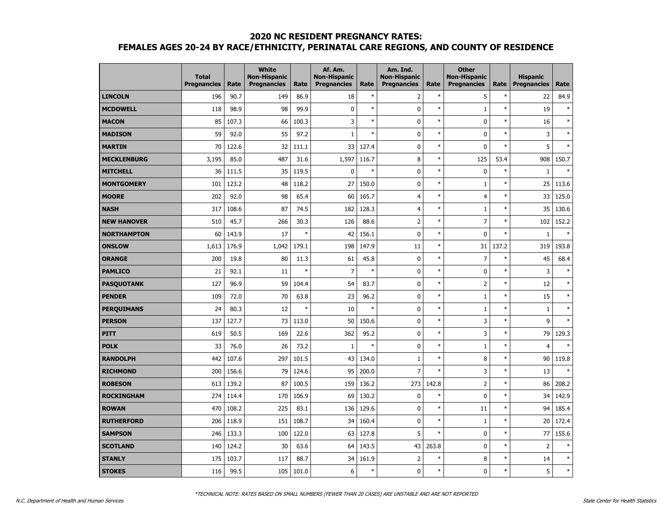|                    | <b>Total</b><br><b>Pregnancies</b> | Rate  | <b>White</b><br><b>Non-Hispanic</b><br><b>Pregnancies</b> | Rate   | Af. Am.<br><b>Non-Hispanic</b><br><b>Pregnancies</b> | Rate   | Am. Ind.<br><b>Non-Hispanic</b><br><b>Pregnancies</b> | Rate   | <b>Other</b><br><b>Non-Hispanic</b><br><b>Pregnancies</b> | Rate   | <b>Hispanic</b><br><b>Pregnancies</b> | Rate   |
|--------------------|------------------------------------|-------|-----------------------------------------------------------|--------|------------------------------------------------------|--------|-------------------------------------------------------|--------|-----------------------------------------------------------|--------|---------------------------------------|--------|
| <b>LINCOLN</b>     | 196                                | 90.7  | 149                                                       | 86.9   | 18                                                   | $\ast$ | $\overline{2}$                                        | $\ast$ | 5                                                         | $\ast$ | 22                                    | 84.9   |
| <b>MCDOWELL</b>    | 118                                | 98.9  | 98                                                        | 99.9   | 0                                                    | $\ast$ | 0                                                     | $\ast$ | $\mathbf 1$                                               | $\ast$ | 19                                    | $\ast$ |
| <b>MACON</b>       | 85                                 | 107.3 | 66                                                        | 100.3  | 3                                                    | $\ast$ | $\mathbf 0$                                           | $\ast$ | $\mathbf 0$                                               | $\ast$ | 16                                    | $\ast$ |
| <b>MADISON</b>     | 59                                 | 92.0  | 55                                                        | 97.2   | $\mathbf{1}$                                         | $\ast$ | $\mathbf 0$                                           | $\ast$ | $\mathbf 0$                                               | $\ast$ | 3                                     | $\ast$ |
| <b>MARTIN</b>      | 70                                 | 122.6 | 32                                                        | 111.1  | 33                                                   | 127.4  | 0                                                     | $\ast$ | 0                                                         | $\ast$ | 5                                     | $\ast$ |
| <b>MECKLENBURG</b> | 3,195                              | 85.0  | 487                                                       | 31.6   | 1,597                                                | 116.7  | 8                                                     | $\ast$ | 125                                                       | 53.4   | 908                                   | 150.7  |
| <b>MITCHELL</b>    | 36                                 | 111.5 | 35                                                        | 119.5  | 0                                                    | $\ast$ | $\mathbf 0$                                           | $\ast$ | 0                                                         | $\ast$ | $\mathbf{1}$                          | $\ast$ |
| <b>MONTGOMERY</b>  | 101                                | 123.2 | 48                                                        | 118.2  | 27                                                   | 150.0  | $\mathbf 0$                                           | $\ast$ | $\mathbf{1}$                                              | $\ast$ | 25                                    | 113.6  |
| <b>MOORE</b>       | 202                                | 92.0  | 98                                                        | 65.4   | 60                                                   | 165.7  | $\overline{4}$                                        | $\ast$ | $\overline{4}$                                            | $\ast$ | 33                                    | 125.0  |
| <b>NASH</b>        | 317                                | 108.6 | 87                                                        | 74.5   | 182                                                  | 128.3  | $\overline{4}$                                        | $\ast$ | 1                                                         | $\ast$ | 35                                    | 130.6  |
| <b>NEW HANOVER</b> | 510                                | 45.7  | 266                                                       | 30.3   | 126                                                  | 88.6   | $\overline{2}$                                        | $\ast$ | $\overline{7}$                                            | $\ast$ | 102                                   | 152.2  |
| <b>NORTHAMPTON</b> | 60                                 | 143.9 | 17                                                        | $\ast$ | 42                                                   | 156.1  | $\mathbf 0$                                           | $\ast$ | 0                                                         | $\ast$ | $1\,$                                 | $\ast$ |
| <b>ONSLOW</b>      | 1,613                              | 176.9 | 1,042                                                     | 179.1  | 198                                                  | 147.9  | 11                                                    | $\ast$ | 31                                                        | 137.2  | 319                                   | 193.8  |
| <b>ORANGE</b>      | 200                                | 19.8  | 80                                                        | 11.3   | 61                                                   | 45.8   | 0                                                     | $\ast$ | $\overline{7}$                                            | $\ast$ | 45                                    | 68.4   |
| <b>PAMLICO</b>     | 21                                 | 92.1  | 11                                                        | $\ast$ | 7                                                    | $\ast$ | 0                                                     | $\ast$ | $\mathbf 0$                                               | $\ast$ | 3                                     | $\ast$ |
| <b>PASQUOTANK</b>  | 127                                | 96.9  | 59                                                        | 104.4  | 54                                                   | 83.7   | 0                                                     | $\ast$ | $\overline{2}$                                            | $\ast$ | 12                                    | $\ast$ |
| <b>PENDER</b>      | 109                                | 72.0  | 70                                                        | 63.8   | 23                                                   | 96.2   | $\mathbf 0$                                           | $\ast$ | 1                                                         | $\ast$ | 15                                    | $\ast$ |
| <b>PERQUIMANS</b>  | 24                                 | 80.3  | 12                                                        | $\ast$ | 10                                                   | $\ast$ | 0                                                     | $\ast$ | $1\,$                                                     | $\ast$ | $\mathbf{1}$                          | $\ast$ |
| <b>PERSON</b>      | 137                                | 127.7 | 73                                                        | 113.0  | 50                                                   | 150.6  | $\mathbf 0$                                           | $\ast$ | 3                                                         | $\ast$ | 9                                     | $\ast$ |
| <b>PITT</b>        | 619                                | 50.5  | 169                                                       | 22.6   | 362                                                  | 95.2   | 0                                                     | $\ast$ | 3                                                         | $\ast$ | 79                                    | 129.3  |
| <b>POLK</b>        | 33                                 | 76.0  | 26                                                        | 73.2   | $\mathbf{1}$                                         | $\ast$ | 0                                                     | $\ast$ | 1                                                         | $\ast$ | $\overline{4}$                        | $\ast$ |
| <b>RANDOLPH</b>    | 442                                | 107.6 | 297                                                       | 101.5  | 43                                                   | 134.0  | $\mathbf{1}$                                          | $\ast$ | 8                                                         | $\ast$ | 90                                    | 119.8  |
| <b>RICHMOND</b>    | 200                                | 156.6 | 79                                                        | 124.6  | 95                                                   | 200.0  | $\overline{7}$                                        | $\ast$ | 3                                                         | $\ast$ | 13                                    | $\ast$ |
| <b>ROBESON</b>     | 613                                | 139.2 | 87                                                        | 100.5  | 159                                                  | 136.2  | 273                                                   | 142.8  | $\overline{2}$                                            | $\ast$ | 86                                    | 208.2  |
| <b>ROCKINGHAM</b>  | 274                                | 114.4 | 170                                                       | 106.9  | 69                                                   | 130.2  | 0                                                     | $\ast$ | 0                                                         | $\ast$ | 34                                    | 142.9  |
| <b>ROWAN</b>       | 470                                | 108.2 | 225                                                       | 83.1   | 136                                                  | 129.6  | 0                                                     | $\ast$ | 11                                                        | $\ast$ | 94                                    | 185.4  |
| <b>RUTHERFORD</b>  | 206                                | 118.9 | 151                                                       | 108.7  | 34                                                   | 160.4  | 0                                                     | $\ast$ | $\mathbf{1}$                                              | $\ast$ | 20                                    | 172.4  |
| <b>SAMPSON</b>     | 246                                | 133.3 | 100                                                       | 122.0  | 63                                                   | 127.8  | 5                                                     | $\ast$ | $\mathbf 0$                                               | $\ast$ | 77                                    | 155.6  |
| <b>SCOTLAND</b>    | 140                                | 124.2 | 30                                                        | 63.6   | 64                                                   | 143.5  | 43                                                    | 263.8  | 0                                                         | $\ast$ | $\overline{2}$                        | $\ast$ |
| <b>STANLY</b>      | 175                                | 103.7 | 117                                                       | 88.7   | 34                                                   | 161.9  | $\overline{2}$                                        | $\ast$ | 8                                                         | $\ast$ | 14                                    | $\ast$ |
| <b>STOKES</b>      | 116                                | 99.5  | 105                                                       | 101.0  | 6                                                    | *      | $\mathbf 0$                                           | $\ast$ | 0                                                         | $\ast$ | 5                                     | $\ast$ |